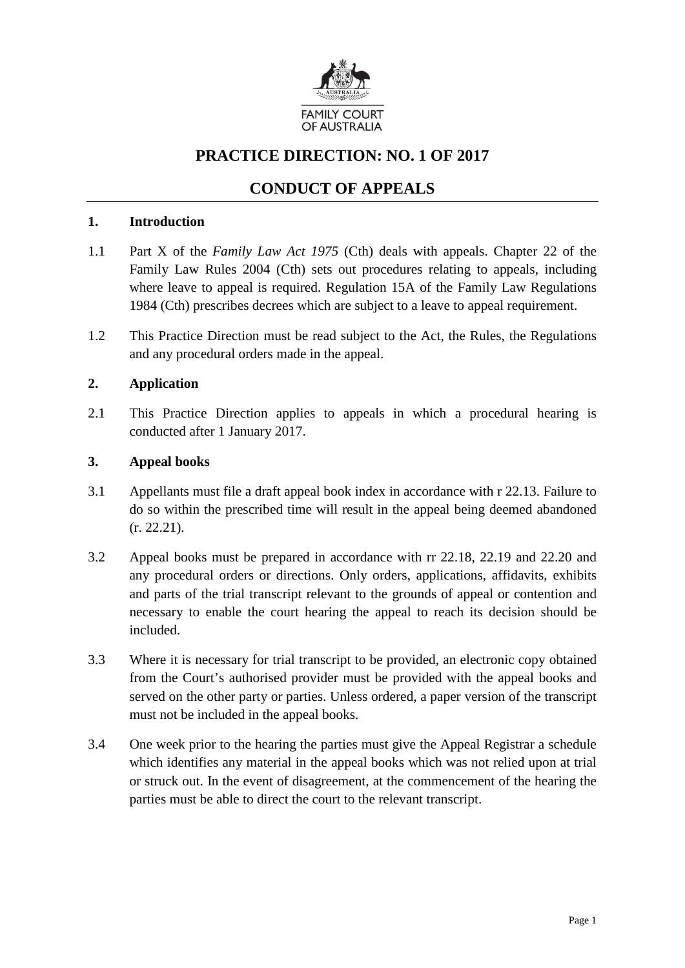

# **PRACTICE DIRECTION: NO. 1 OF 2017**

# **CONDUCT OF APPEALS**

#### **1. Introduction**

- 1.1 Part X of the *Family Law Act 1975* (Cth) deals with appeals. Chapter 22 of the Family Law Rules 2004 (Cth) sets out procedures relating to appeals, including where leave to appeal is required. Regulation 15A of the Family Law Regulations 1984 (Cth) prescribes decrees which are subject to a leave to appeal requirement.
- 1.2 This Practice Direction must be read subject to the Act, the Rules, the Regulations and any procedural orders made in the appeal.

## **2. Application**

2.1 This Practice Direction applies to appeals in which a procedural hearing is conducted after 1 January 2017.

#### **3. Appeal books**

- 3.1 Appellants must file a draft appeal book index in accordance with r 22.13. Failure to do so within the prescribed time will result in the appeal being deemed abandoned (r. 22.21).
- 3.2 Appeal books must be prepared in accordance with rr 22.18, 22.19 and 22.20 and any procedural orders or directions. Only orders, applications, affidavits, exhibits and parts of the trial transcript relevant to the grounds of appeal or contention and necessary to enable the court hearing the appeal to reach its decision should be included.
- 3.3 Where it is necessary for trial transcript to be provided, an electronic copy obtained from the Court's authorised provider must be provided with the appeal books and served on the other party or parties. Unless ordered, a paper version of the transcript must not be included in the appeal books.
- 3.4 One week prior to the hearing the parties must give the Appeal Registrar a schedule which identifies any material in the appeal books which was not relied upon at trial or struck out. In the event of disagreement, at the commencement of the hearing the parties must be able to direct the court to the relevant transcript.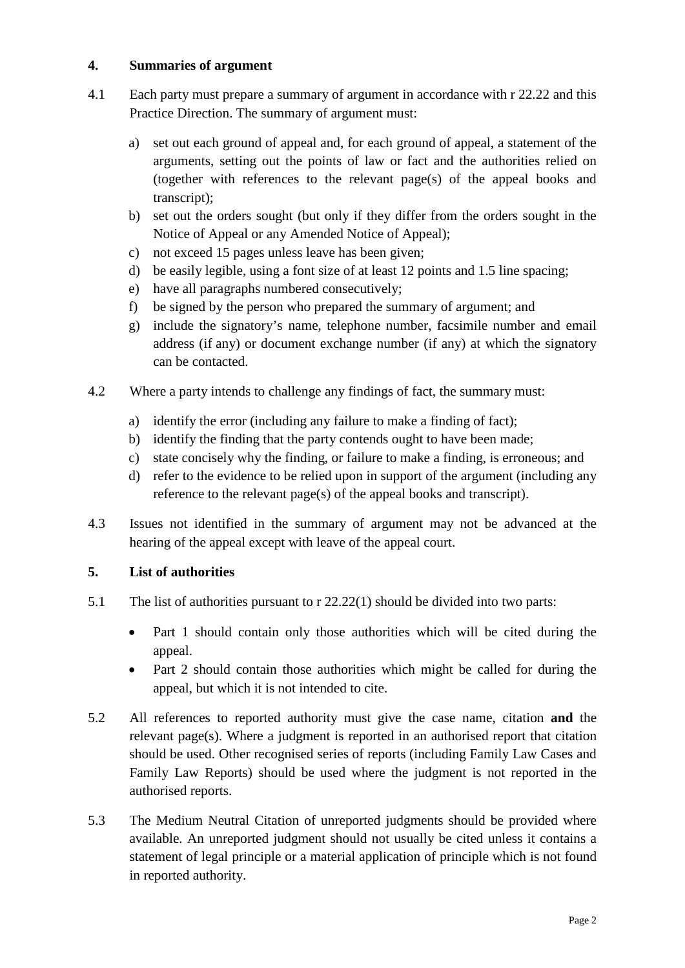#### **4. Summaries of argument**

- 4.1 Each party must prepare a summary of argument in accordance with r 22.22 and this Practice Direction. The summary of argument must:
	- a) set out each ground of appeal and, for each ground of appeal, a statement of the arguments, setting out the points of law or fact and the authorities relied on (together with references to the relevant page(s) of the appeal books and transcript);
	- b) set out the orders sought (but only if they differ from the orders sought in the Notice of Appeal or any Amended Notice of Appeal);
	- c) not exceed 15 pages unless leave has been given;
	- d) be easily legible, using a font size of at least 12 points and 1.5 line spacing;
	- e) have all paragraphs numbered consecutively;
	- f) be signed by the person who prepared the summary of argument; and
	- g) include the signatory's name, telephone number, facsimile number and email address (if any) or document exchange number (if any) at which the signatory can be contacted.
- 4.2 Where a party intends to challenge any findings of fact, the summary must:
	- a) identify the error (including any failure to make a finding of fact);
	- b) identify the finding that the party contends ought to have been made;
	- c) state concisely why the finding, or failure to make a finding, is erroneous; and
	- d) refer to the evidence to be relied upon in support of the argument (including any reference to the relevant page(s) of the appeal books and transcript).
- 4.3 Issues not identified in the summary of argument may not be advanced at the hearing of the appeal except with leave of the appeal court.

# **5. List of authorities**

- 5.1 The list of authorities pursuant to r 22.22(1) should be divided into two parts:
	- Part 1 should contain only those authorities which will be cited during the appeal.
	- Part 2 should contain those authorities which might be called for during the appeal, but which it is not intended to cite.
- 5.2 All references to reported authority must give the case name, citation **and** the relevant page(s). Where a judgment is reported in an authorised report that citation should be used. Other recognised series of reports (including Family Law Cases and Family Law Reports) should be used where the judgment is not reported in the authorised reports.
- 5.3 The Medium Neutral Citation of unreported judgments should be provided where available. An unreported judgment should not usually be cited unless it contains a statement of legal principle or a material application of principle which is not found in reported authority.